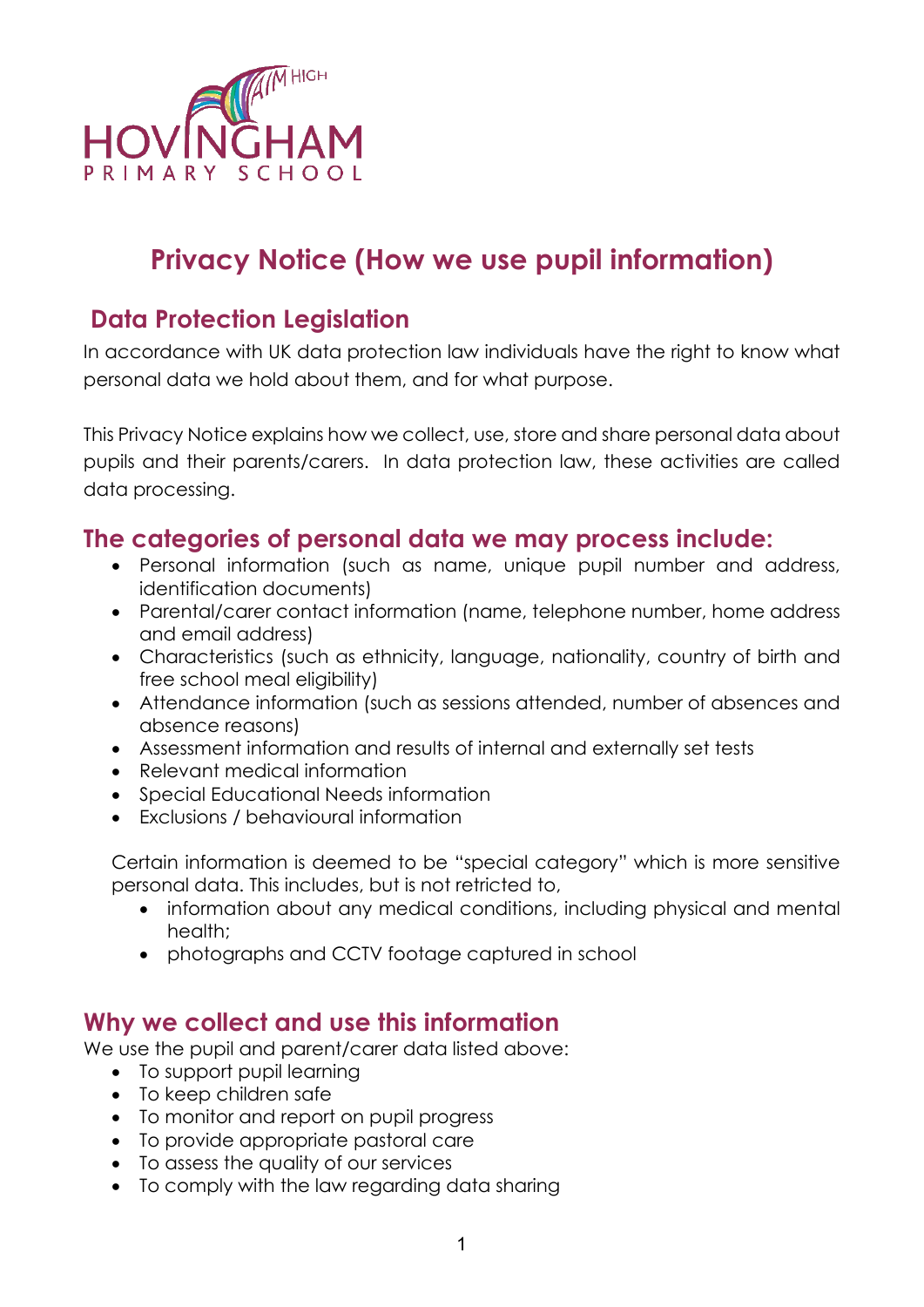

# **Privacy Notice (How we use pupil information)**

## **Data Protection Legislation**

In accordance with UK data protection law individuals have the right to know what personal data we hold about them, and for what purpose.

This Privacy Notice explains how we collect, use, store and share personal data about pupils and their parents/carers. In data protection law, these activities are called data processing.

#### **The categories of personal data we may process include:**

- Personal information (such as name, unique pupil number and address, identification documents)
- Parental/carer contact information (name, telephone number, home address and email address)
- Characteristics (such as ethnicity, language, nationality, country of birth and free school meal eligibility)
- Attendance information (such as sessions attended, number of absences and absence reasons)
- Assessment information and results of internal and externally set tests
- Relevant medical information
- Special Educational Needs information
- Exclusions / behavioural information

Certain information is deemed to be "special category" which is more sensitive personal data. This includes, but is not retricted to,

- information about any medical conditions, including physical and mental health;
- photographs and CCTV footage captured in school

#### **Why we collect and use this information**

We use the pupil and parent/carer data listed above:

- To support pupil learning
- To keep children safe
- To monitor and report on pupil progress
- To provide appropriate pastoral care
- To assess the quality of our services
- To comply with the law regarding data sharing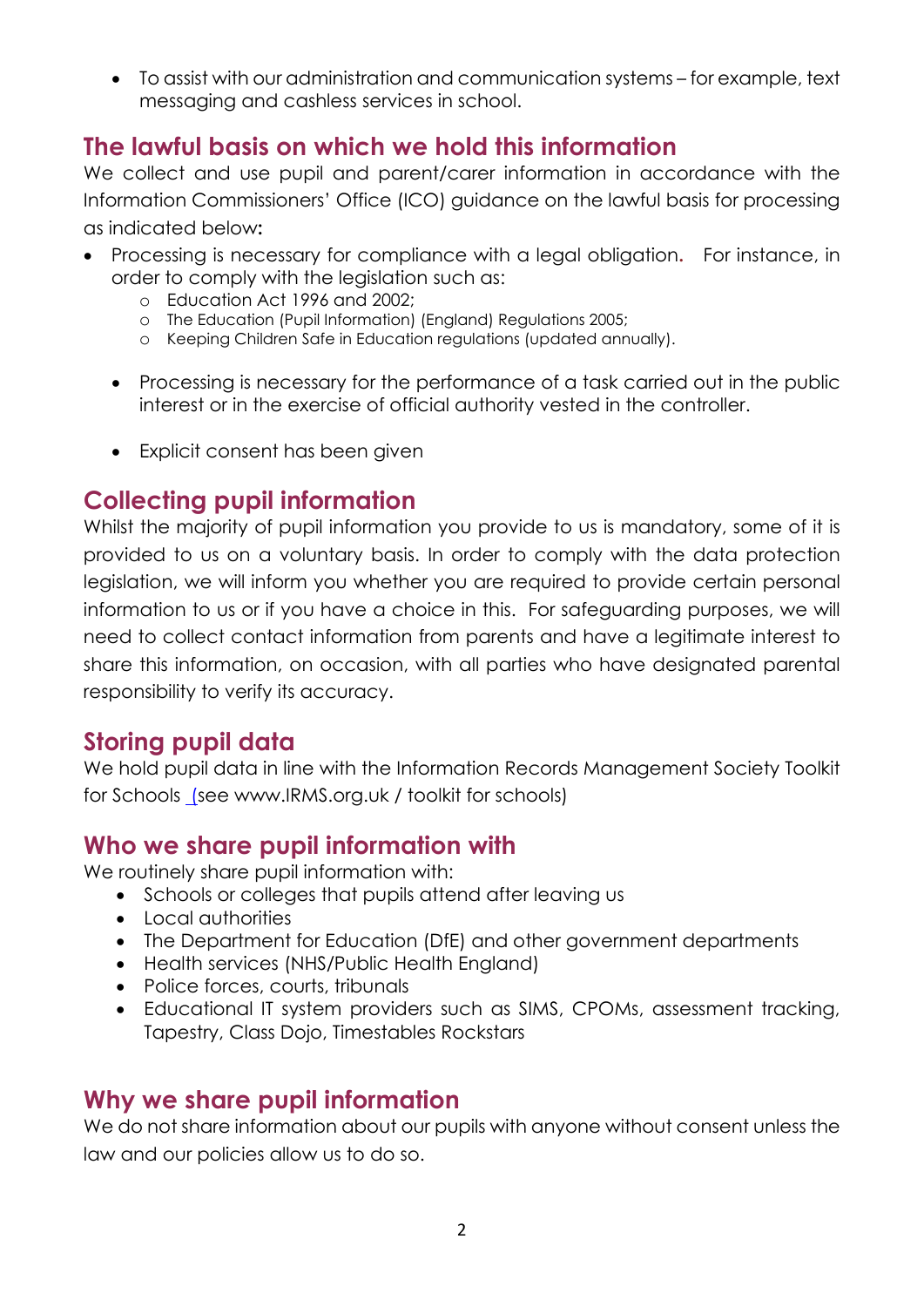• To assist with our administration and communication systems – for example, text messaging and cashless services in school.

## **The lawful basis on which we hold this information**

We collect and use pupil and parent/carer information in accordance with the Information Commissioners' Office (ICO) guidance on the lawful basis for processing as indicated below**:** 

- Processing is necessary for compliance with a legal obligation**.** For instance, in order to comply with the legislation such as:
	- o Education Act 1996 and 2002;
	- o The Education (Pupil Information) (England) Regulations 2005;
	- o Keeping Children Safe in Education regulations (updated annually).
	- Processing is necessary for the performance of a task carried out in the public interest or in the exercise of official authority vested in the controller.
	- Explicit consent has been given

## **Collecting pupil information**

Whilst the majority of pupil information you provide to us is mandatory, some of it is provided to us on a voluntary basis. In order to comply with the data protection legislation, we will inform you whether you are required to provide certain personal information to us or if you have a choice in this. For safeguarding purposes, we will need to collect contact information from parents and have a legitimate interest to share this information, on occasion, with all parties who have designated parental responsibility to verify its accuracy.

#### **Storing pupil data**

We hold pupil data in line with the Information Records Management Society Toolkit for Schools (see www.IRMS.org.uk / toolkit for schools)

## **Who we share pupil information with**

We routinely share pupil information with:

- Schools or colleges that pupils attend after leaving us
- Local authorities
- The Department for Education (DfE) and other government departments
- Health services (NHS/Public Health England)
- Police forces, courts, tribunals
- Educational IT system providers such as SIMS, CPOMs, assessment tracking, Tapestry, Class Dojo, Timestables Rockstars

#### **Why we share pupil information**

We do not share information about our pupils with anyone without consent unless the law and our policies allow us to do so.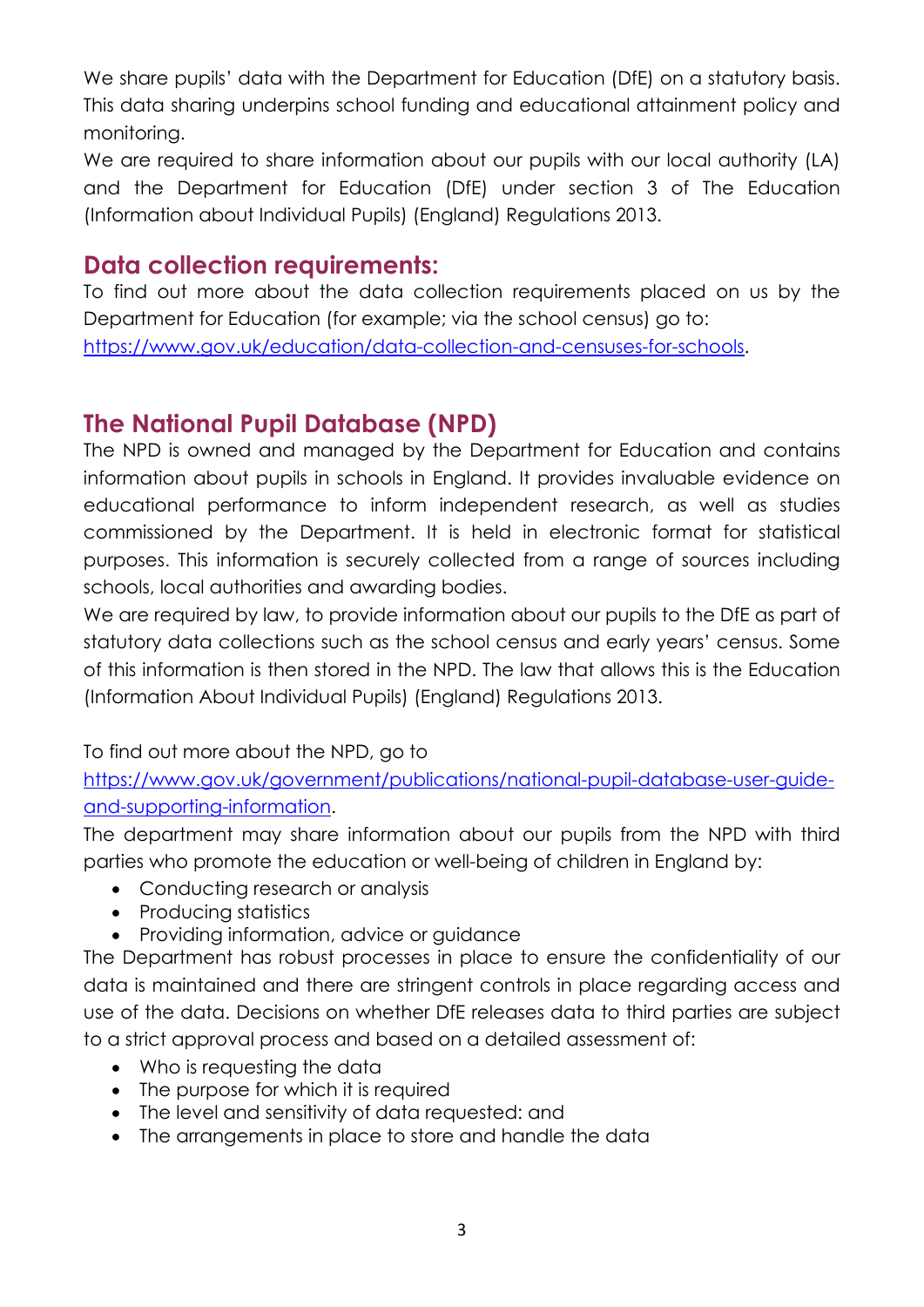We share pupils' data with the Department for Education (DfE) on a statutory basis. This data sharing underpins school funding and educational attainment policy and monitoring.

We are required to share information about our pupils with our local authority (LA) and the Department for Education (DfE) under section 3 of The Education (Information about Individual Pupils) (England) Regulations 2013.

#### **Data collection requirements:**

To find out more about the data collection requirements placed on us by the Department for Education (for example; via the school census) go to: [https://www.gov.uk/education/data-collection-and-censuses-for-schools.](https://www.gov.uk/education/data-collection-and-censuses-for-schools)

## **The National Pupil Database (NPD)**

The NPD is owned and managed by the Department for Education and contains information about pupils in schools in England. It provides invaluable evidence on educational performance to inform independent research, as well as studies commissioned by the Department. It is held in electronic format for statistical purposes. This information is securely collected from a range of sources including schools, local authorities and awarding bodies.

We are required by law, to provide information about our pupils to the DfE as part of statutory data collections such as the school census and early years' census. Some of this information is then stored in the NPD. The law that allows this is the Education (Information About Individual Pupils) (England) Regulations 2013.

To find out more about the NPD, go to

[https://www.gov.uk/government/publications/national-pupil-database-user-guide](https://www.gov.uk/government/publications/national-pupil-database-user-guide-and-supporting-information)[and-supporting-information.](https://www.gov.uk/government/publications/national-pupil-database-user-guide-and-supporting-information)

The department may share information about our pupils from the NPD with third parties who promote the education or well-being of children in England by:

- Conducting research or analysis
- Producing statistics
- Providing information, advice or guidance

The Department has robust processes in place to ensure the confidentiality of our data is maintained and there are stringent controls in place regarding access and use of the data. Decisions on whether DfE releases data to third parties are subject to a strict approval process and based on a detailed assessment of:

- Who is requesting the data
- The purpose for which it is required
- The level and sensitivity of data requested: and
- The arrangements in place to store and handle the data